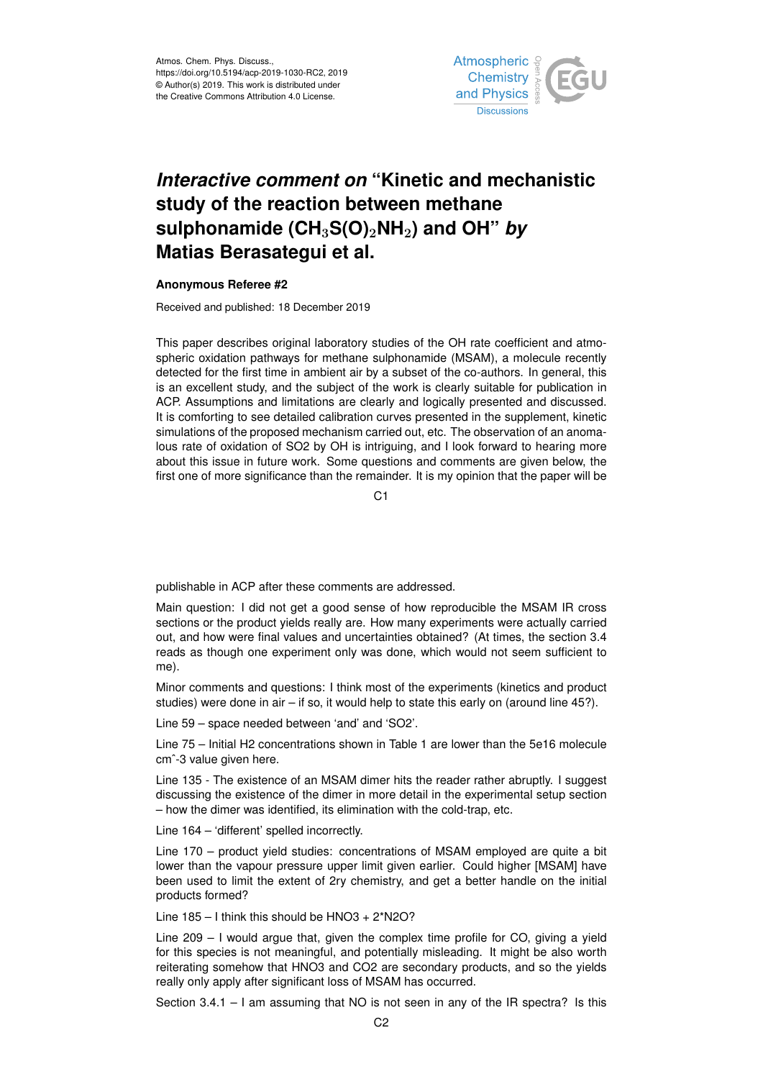

## *Interactive comment on* **"Kinetic and mechanistic study of the reaction between methane sulphonamide (CH**3**S(O)**2**NH**2**) and OH"** *by* **Matias Berasategui et al.**

## **Anonymous Referee #2**

Received and published: 18 December 2019

This paper describes original laboratory studies of the OH rate coefficient and atmospheric oxidation pathways for methane sulphonamide (MSAM), a molecule recently detected for the first time in ambient air by a subset of the co-authors. In general, this is an excellent study, and the subject of the work is clearly suitable for publication in ACP. Assumptions and limitations are clearly and logically presented and discussed. It is comforting to see detailed calibration curves presented in the supplement, kinetic simulations of the proposed mechanism carried out, etc. The observation of an anomalous rate of oxidation of SO2 by OH is intriguing, and I look forward to hearing more about this issue in future work. Some questions and comments are given below, the first one of more significance than the remainder. It is my opinion that the paper will be

C1

publishable in ACP after these comments are addressed.

Main question: I did not get a good sense of how reproducible the MSAM IR cross sections or the product yields really are. How many experiments were actually carried out, and how were final values and uncertainties obtained? (At times, the section 3.4 reads as though one experiment only was done, which would not seem sufficient to me).

Minor comments and questions: I think most of the experiments (kinetics and product studies) were done in air – if so, it would help to state this early on (around line 45?).

Line 59 – space needed between 'and' and 'SO2'.

Line 75 – Initial H2 concentrations shown in Table 1 are lower than the 5e16 molecule cm<sup>2</sup>-3 value given here.

Line 135 - The existence of an MSAM dimer hits the reader rather abruptly. I suggest discussing the existence of the dimer in more detail in the experimental setup section – how the dimer was identified, its elimination with the cold-trap, etc.

Line 164 – 'different' spelled incorrectly.

Line 170 – product yield studies: concentrations of MSAM employed are quite a bit lower than the vapour pressure upper limit given earlier. Could higher [MSAM] have been used to limit the extent of 2ry chemistry, and get a better handle on the initial products formed?

Line  $185 - I$  think this should be  $HNO3 + 2^*N2O$ ?

Line 209 – I would argue that, given the complex time profile for CO, giving a yield for this species is not meaningful, and potentially misleading. It might be also worth reiterating somehow that HNO3 and CO2 are secondary products, and so the yields really only apply after significant loss of MSAM has occurred.

Section 3.4.1 – I am assuming that NO is not seen in any of the IR spectra? Is this